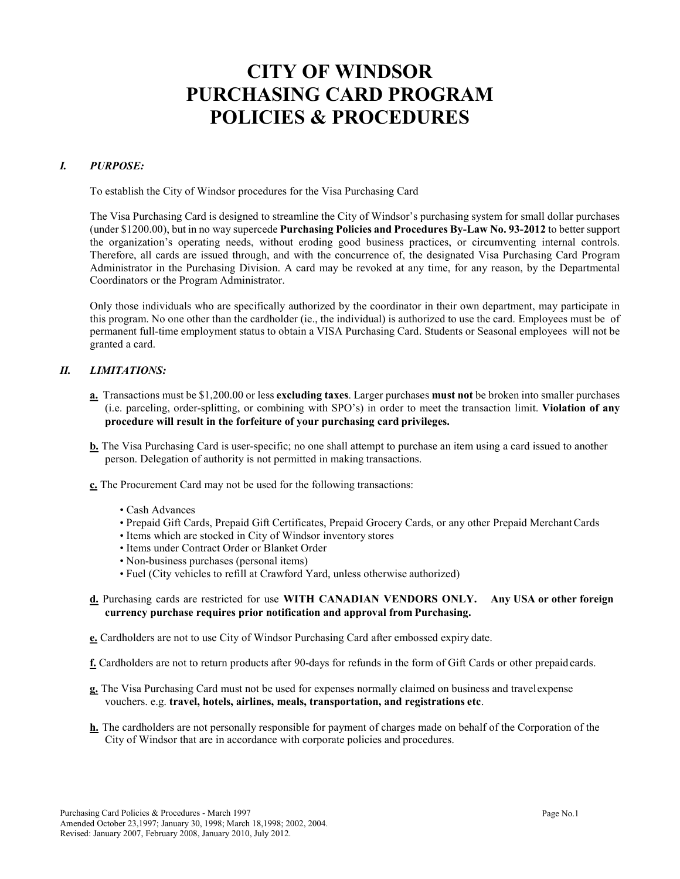# **CITY OF WINDSOR PURCHASING CARD PROGRAM POLICIES & PROCEDURES**

## *I. PURPOSE:*

To establish the City of Windsor procedures for the Visa Purchasing Card

The Visa Purchasing Card is designed to streamline the City of Windsor's purchasing system for small dollar purchases (under \$1200.00), but in no way supercede **Purchasing Policies and Procedures By-Law No. 93-2012** to better support the organization's operating needs, without eroding good business practices, or circumventing internal controls. Therefore, all cards are issued through, and with the concurrence of, the designated Visa Purchasing Card Program Administrator in the Purchasing Division. A card may be revoked at any time, for any reason, by the Departmental Coordinators or the Program Administrator.

Only those individuals who are specifically authorized by the coordinator in their own department, may participate in this program. No one other than the cardholder (ie., the individual) is authorized to use the card. Employees must be of permanent full-time employment status to obtain a VISA Purchasing Card. Students or Seasonal employees will not be granted a card.

#### *II. LIMITATIONS:*

- **a.** Transactions must be \$1,200.00 or less **excluding taxes**. Larger purchases **must not** be broken into smaller purchases (i.e. parceling, order-splitting, or combining with SPO's) in order to meet the transaction limit. **Violation of any procedure will result in the forfeiture of your purchasing card privileges.**
- **b.** The Visa Purchasing Card is user-specific; no one shall attempt to purchase an item using a card issued to another person. Delegation of authority is not permitted in making transactions.
- **c.** The Procurement Card may not be used for the following transactions:
	- Cash Advances
	- Prepaid Gift Cards, Prepaid Gift Certificates, Prepaid Grocery Cards, or any other Prepaid MerchantCards
	- Items which are stocked in City of Windsor inventory stores
	- Items under Contract Order or Blanket Order
	- Non-business purchases (personal items)
	- Fuel (City vehicles to refill at Crawford Yard, unless otherwise authorized)
- **d.** Purchasing cards are restricted for use **WITH CANADIAN VENDORS ONLY. Any USA or other foreign currency purchase requires prior notification and approval from Purchasing.**
- **e.** Cardholders are not to use City of Windsor Purchasing Card after embossed expiry date.
- **f.** Cardholders are not to return products after 90-days for refunds in the form of Gift Cards or other prepaid cards.
- **g.** The Visa Purchasing Card must not be used for expenses normally claimed on business and travelexpense vouchers. e.g. **travel, hotels, airlines, meals, transportation, and registrations etc**.
- **h.** The cardholders are not personally responsible for payment of charges made on behalf of the Corporation of the City of Windsor that are in accordance with corporate policies and procedures.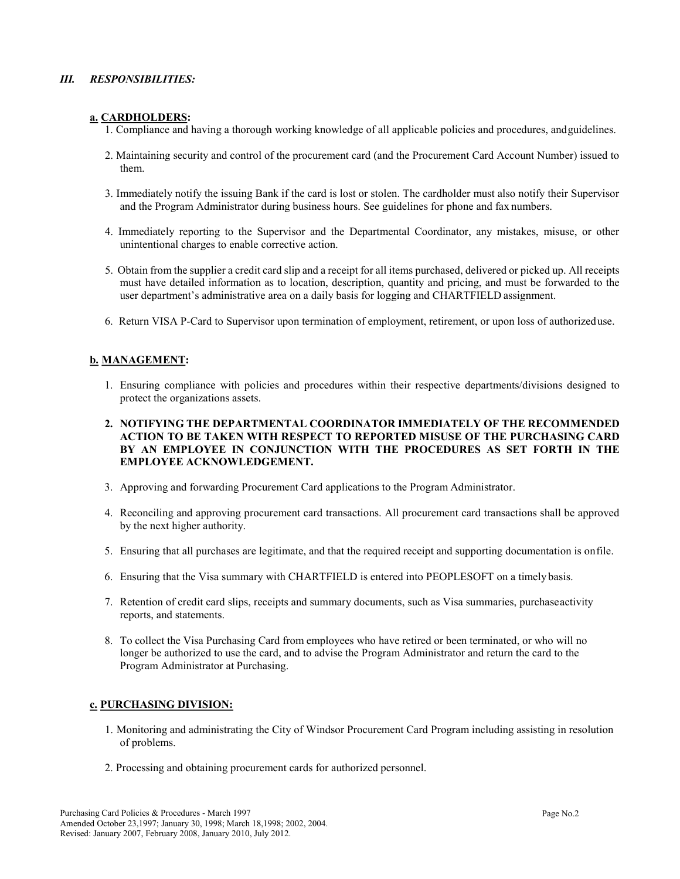## *III. RESPONSIBILITIES:*

## **a. CARDHOLDERS:**

- 1. Compliance and having a thorough working knowledge of all applicable policies and procedures, andguidelines.
- 2. Maintaining security and control of the procurement card (and the Procurement Card Account Number) issued to them.
- 3. Immediately notify the issuing Bank if the card is lost or stolen. The cardholder must also notify their Supervisor and the Program Administrator during business hours. See guidelines for phone and fax numbers.
- 4. Immediately reporting to the Supervisor and the Departmental Coordinator, any mistakes, misuse, or other unintentional charges to enable corrective action.
- 5. Obtain from the supplier a credit card slip and a receipt for all items purchased, delivered or picked up. All receipts must have detailed information as to location, description, quantity and pricing, and must be forwarded to the user department's administrative area on a daily basis for logging and CHARTFIELD assignment.
- 6. Return VISA P-Card to Supervisor upon termination of employment, retirement, or upon loss of authorizeduse.

## **b. MANAGEMENT:**

- 1. Ensuring compliance with policies and procedures within their respective departments/divisions designed to protect the organizations assets.
- **2. NOTIFYING THE DEPARTMENTAL COORDINATOR IMMEDIATELY OF THE RECOMMENDED ACTION TO BE TAKEN WITH RESPECT TO REPORTED MISUSE OF THE PURCHASING CARD BY AN EMPLOYEE IN CONJUNCTION WITH THE PROCEDURES AS SET FORTH IN THE EMPLOYEE ACKNOWLEDGEMENT.**
- 3. Approving and forwarding Procurement Card applications to the Program Administrator.
- 4. Reconciling and approving procurement card transactions. All procurement card transactions shall be approved by the next higher authority.
- 5. Ensuring that all purchases are legitimate, and that the required receipt and supporting documentation is onfile.
- 6. Ensuring that the Visa summary with CHARTFIELD is entered into PEOPLESOFT on a timely basis.
- 7. Retention of credit card slips, receipts and summary documents, such as Visa summaries, purchaseactivity reports, and statements.
- 8. To collect the Visa Purchasing Card from employees who have retired or been terminated, or who will no longer be authorized to use the card, and to advise the Program Administrator and return the card to the Program Administrator at Purchasing.

## **c. PURCHASING DIVISION:**

- 1. Monitoring and administrating the City of Windsor Procurement Card Program including assisting in resolution of problems.
- 2. Processing and obtaining procurement cards for authorized personnel.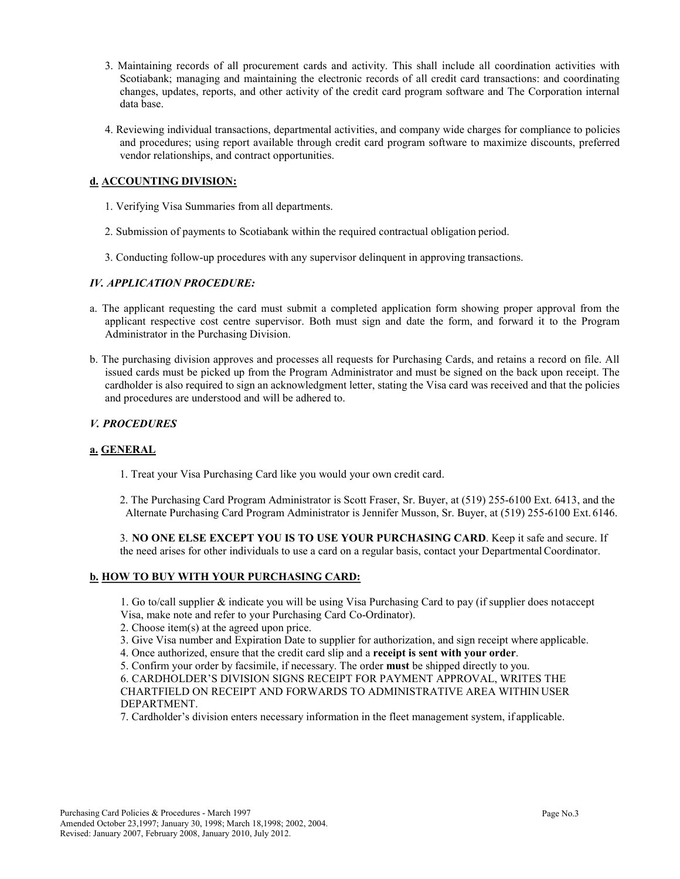- 3. Maintaining records of all procurement cards and activity. This shall include all coordination activities with Scotiabank; managing and maintaining the electronic records of all credit card transactions: and coordinating changes, updates, reports, and other activity of the credit card program software and The Corporation internal data base.
- 4. Reviewing individual transactions, departmental activities, and company wide charges for compliance to policies and procedures; using report available through credit card program software to maximize discounts, preferred vendor relationships, and contract opportunities.

## **d. ACCOUNTING DIVISION:**

- 1. Verifying Visa Summaries from all departments.
- 2. Submission of payments to Scotiabank within the required contractual obligation period.
- 3. Conducting follow-up procedures with any supervisor delinquent in approving transactions.

## *IV. APPLICATION PROCEDURE:*

- a. The applicant requesting the card must submit a completed application form showing proper approval from the applicant respective cost centre supervisor. Both must sign and date the form, and forward it to the Program Administrator in the Purchasing Division.
- b. The purchasing division approves and processes all requests for Purchasing Cards, and retains a record on file. All issued cards must be picked up from the Program Administrator and must be signed on the back upon receipt. The cardholder is also required to sign an acknowledgment letter, stating the Visa card was received and that the policies and procedures are understood and will be adhered to.

## *V. PROCEDURES*

## **a. GENERAL**

- 1. Treat your Visa Purchasing Card like you would your own credit card.
- 2. The Purchasing Card Program Administrator is Scott Fraser, Sr. Buyer, at (519) 255-6100 Ext. 6413, and the Alternate Purchasing Card Program Administrator is Jennifer Musson, Sr. Buyer, at (519) 255-6100 Ext. 6146.

3. **NO ONE ELSE EXCEPT YOU IS TO USE YOUR PURCHASING CARD**. Keep it safe and secure. If the need arises for other individuals to use a card on a regular basis, contact your DepartmentalCoordinator.

## **b. HOW TO BUY WITH YOUR PURCHASING CARD:**

1. Go to/call supplier & indicate you will be using Visa Purchasing Card to pay (if supplier does notaccept Visa, make note and refer to your Purchasing Card Co-Ordinator).

- 2. Choose item(s) at the agreed upon price.
- 3. Give Visa number and Expiration Date to supplier for authorization, and sign receipt where applicable.
- 4. Once authorized, ensure that the credit card slip and a **receipt is sent with your order**.
- 5. Confirm your order by facsimile, if necessary. The order **must** be shipped directly to you.

6. CARDHOLDER'S DIVISION SIGNS RECEIPT FOR PAYMENT APPROVAL, WRITES THE CHARTFIELD ON RECEIPT AND FORWARDS TO ADMINISTRATIVE AREA WITHIN USER DEPARTMENT.

7. Cardholder's division enters necessary information in the fleet management system, if applicable.